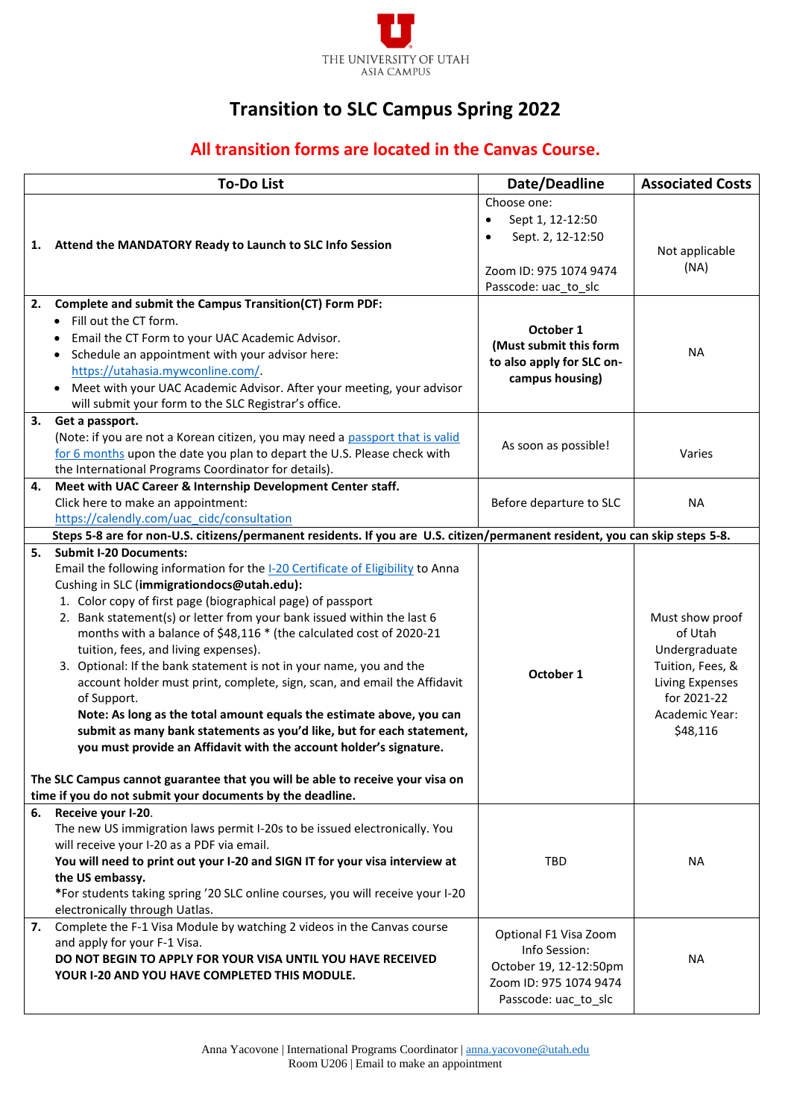

## **Transition to SLC Campus Spring 2022**

## **All transition forms are located in the Canvas Course.**

|    | <b>To-Do List</b>                                                                                                                                                                                                                                                                                                                                                                                                                                                                                                                                                                                                                                                                                                                                                                                                                                                                                                                                             | Date/Deadline                                                                                                       | <b>Associated Costs</b>                                                                                                         |
|----|---------------------------------------------------------------------------------------------------------------------------------------------------------------------------------------------------------------------------------------------------------------------------------------------------------------------------------------------------------------------------------------------------------------------------------------------------------------------------------------------------------------------------------------------------------------------------------------------------------------------------------------------------------------------------------------------------------------------------------------------------------------------------------------------------------------------------------------------------------------------------------------------------------------------------------------------------------------|---------------------------------------------------------------------------------------------------------------------|---------------------------------------------------------------------------------------------------------------------------------|
| 1. | Attend the MANDATORY Ready to Launch to SLC Info Session                                                                                                                                                                                                                                                                                                                                                                                                                                                                                                                                                                                                                                                                                                                                                                                                                                                                                                      | Choose one:<br>Sept 1, 12-12:50<br>$\bullet$<br>Sept. 2, 12-12:50<br>Zoom ID: 975 1074 9474<br>Passcode: uac_to_slc | Not applicable<br>(NA)                                                                                                          |
| 2. | Complete and submit the Campus Transition(CT) Form PDF:<br>Fill out the CT form.<br>Email the CT Form to your UAC Academic Advisor.<br>• Schedule an appointment with your advisor here:<br>https://utahasia.mywconline.com/.<br>Meet with your UAC Academic Advisor. After your meeting, your advisor<br>$\bullet$<br>will submit your form to the SLC Registrar's office.                                                                                                                                                                                                                                                                                                                                                                                                                                                                                                                                                                                   | October 1<br>(Must submit this form<br>to also apply for SLC on-<br>campus housing)                                 | <b>NA</b>                                                                                                                       |
| 3. | Get a passport.<br>(Note: if you are not a Korean citizen, you may need a passport that is valid<br>for 6 months upon the date you plan to depart the U.S. Please check with<br>the International Programs Coordinator for details).                                                                                                                                                                                                                                                                                                                                                                                                                                                                                                                                                                                                                                                                                                                          | As soon as possible!                                                                                                | Varies                                                                                                                          |
| 4. | Meet with UAC Career & Internship Development Center staff.<br>Click here to make an appointment:<br>https://calendly.com/uac_cidc/consultation                                                                                                                                                                                                                                                                                                                                                                                                                                                                                                                                                                                                                                                                                                                                                                                                               | Before departure to SLC                                                                                             | <b>NA</b>                                                                                                                       |
|    | Steps 5-8 are for non-U.S. citizens/permanent residents. If you are U.S. citizen/permanent resident, you can skip steps 5-8.                                                                                                                                                                                                                                                                                                                                                                                                                                                                                                                                                                                                                                                                                                                                                                                                                                  |                                                                                                                     |                                                                                                                                 |
| 5. | <b>Submit I-20 Documents:</b><br>Email the following information for the I-20 Certificate of Eligibility to Anna<br>Cushing in SLC (immigrationdocs@utah.edu):<br>1. Color copy of first page (biographical page) of passport<br>2. Bank statement(s) or letter from your bank issued within the last 6<br>months with a balance of \$48,116 * (the calculated cost of 2020-21<br>tuition, fees, and living expenses).<br>3. Optional: If the bank statement is not in your name, you and the<br>account holder must print, complete, sign, scan, and email the Affidavit<br>of Support.<br>Note: As long as the total amount equals the estimate above, you can<br>submit as many bank statements as you'd like, but for each statement,<br>you must provide an Affidavit with the account holder's signature.<br>The SLC Campus cannot guarantee that you will be able to receive your visa on<br>time if you do not submit your documents by the deadline. | October 1                                                                                                           | Must show proof<br>of Utah<br>Undergraduate<br>Tuition, Fees, &<br>Living Expenses<br>for 2021-22<br>Academic Year:<br>\$48,116 |
|    | 6. Receive your I-20.<br>The new US immigration laws permit I-20s to be issued electronically. You<br>will receive your I-20 as a PDF via email.<br>You will need to print out your I-20 and SIGN IT for your visa interview at<br>the US embassy.<br>*For students taking spring '20 SLC online courses, you will receive your I-20<br>electronically through Uatlas.                                                                                                                                                                                                                                                                                                                                                                                                                                                                                                                                                                                        | <b>TBD</b>                                                                                                          | <b>NA</b>                                                                                                                       |
| 7. | Complete the F-1 Visa Module by watching 2 videos in the Canvas course<br>and apply for your F-1 Visa.<br>DO NOT BEGIN TO APPLY FOR YOUR VISA UNTIL YOU HAVE RECEIVED<br>YOUR I-20 AND YOU HAVE COMPLETED THIS MODULE.                                                                                                                                                                                                                                                                                                                                                                                                                                                                                                                                                                                                                                                                                                                                        | Optional F1 Visa Zoom<br>Info Session:<br>October 19, 12-12:50pm<br>Zoom ID: 975 1074 9474<br>Passcode: uac_to_slc  | <b>NA</b>                                                                                                                       |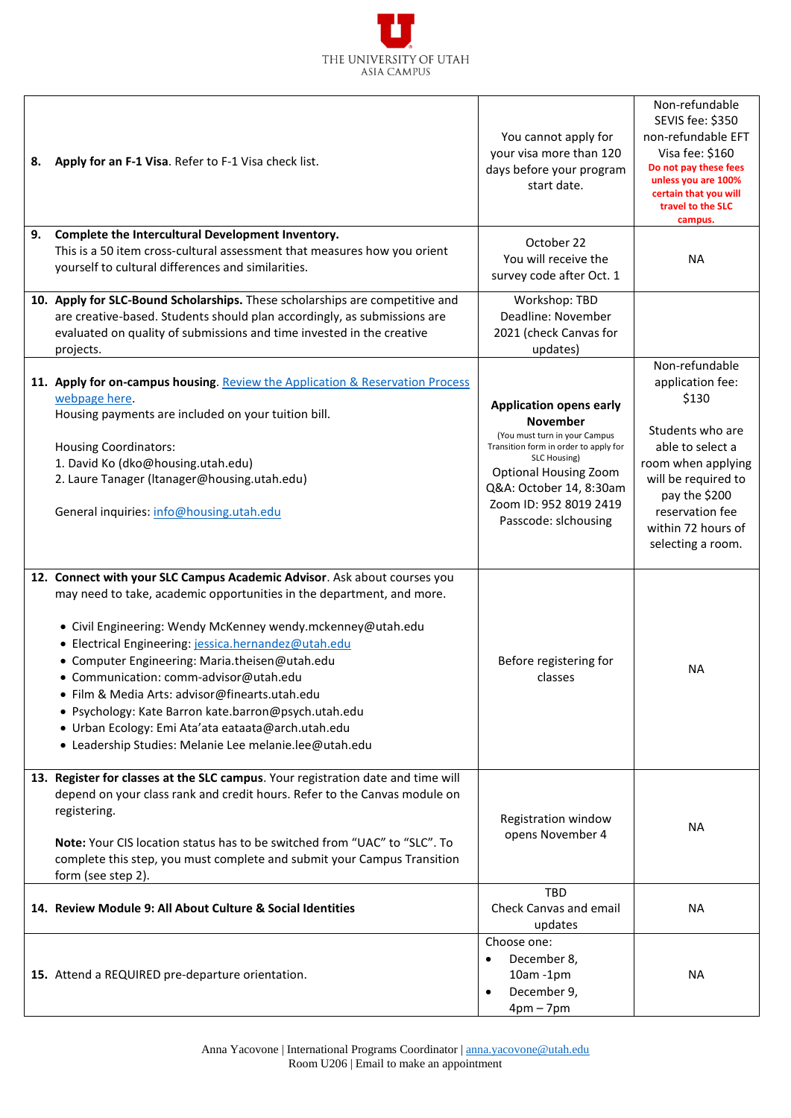## THE UNIVERSITY OF UTAH **ASIA CAMPUS**

| 8. | Apply for an F-1 Visa. Refer to F-1 Visa check list.                                                                                                                                                                                                                                                                                                                                                                                                                                                                                                                                           | You cannot apply for<br>your visa more than 120<br>days before your program<br>start date.                                                                                                                                                               | Non-refundable<br>SEVIS fee: \$350<br>non-refundable EFT<br>Visa fee: \$160<br>Do not pay these fees<br>unless you are 100%<br>certain that you will<br>travel to the SLC<br>campus.                            |
|----|------------------------------------------------------------------------------------------------------------------------------------------------------------------------------------------------------------------------------------------------------------------------------------------------------------------------------------------------------------------------------------------------------------------------------------------------------------------------------------------------------------------------------------------------------------------------------------------------|----------------------------------------------------------------------------------------------------------------------------------------------------------------------------------------------------------------------------------------------------------|-----------------------------------------------------------------------------------------------------------------------------------------------------------------------------------------------------------------|
| 9. | Complete the Intercultural Development Inventory.<br>This is a 50 item cross-cultural assessment that measures how you orient<br>yourself to cultural differences and similarities.                                                                                                                                                                                                                                                                                                                                                                                                            | October 22<br>You will receive the<br>survey code after Oct. 1                                                                                                                                                                                           | <b>NA</b>                                                                                                                                                                                                       |
|    | 10. Apply for SLC-Bound Scholarships. These scholarships are competitive and<br>are creative-based. Students should plan accordingly, as submissions are<br>evaluated on quality of submissions and time invested in the creative<br>projects.                                                                                                                                                                                                                                                                                                                                                 | Workshop: TBD<br>Deadline: November<br>2021 (check Canvas for<br>updates)                                                                                                                                                                                |                                                                                                                                                                                                                 |
|    | 11. Apply for on-campus housing. Review the Application & Reservation Process<br>webpage here.<br>Housing payments are included on your tuition bill.<br><b>Housing Coordinators:</b><br>1. David Ko (dko@housing.utah.edu)<br>2. Laure Tanager (Itanager@housing.utah.edu)<br>General inquiries: info@housing.utah.edu                                                                                                                                                                                                                                                                        | <b>Application opens early</b><br><b>November</b><br>(You must turn in your Campus<br>Transition form in order to apply for<br>SLC Housing)<br><b>Optional Housing Zoom</b><br>Q&A: October 14, 8:30am<br>Zoom ID: 952 8019 2419<br>Passcode: slchousing | Non-refundable<br>application fee:<br>\$130<br>Students who are<br>able to select a<br>room when applying<br>will be required to<br>pay the \$200<br>reservation fee<br>within 72 hours of<br>selecting a room. |
|    | 12. Connect with your SLC Campus Academic Advisor. Ask about courses you<br>may need to take, academic opportunities in the department, and more.<br>• Civil Engineering: Wendy McKenney wendy.mckenney@utah.edu<br>· Electrical Engineering: jessica.hernandez@utah.edu<br>• Computer Engineering: Maria.theisen@utah.edu<br>• Communication: comm-advisor@utah.edu<br>• Film & Media Arts: advisor@finearts.utah.edu<br>· Psychology: Kate Barron kate.barron@psych.utah.edu<br>· Urban Ecology: Emi Ata'ata eataata@arch.utah.edu<br>• Leadership Studies: Melanie Lee melanie.lee@utah.edu | Before registering for<br>classes                                                                                                                                                                                                                        | <b>NA</b>                                                                                                                                                                                                       |
|    | 13. Register for classes at the SLC campus. Your registration date and time will<br>depend on your class rank and credit hours. Refer to the Canvas module on<br>registering.<br>Note: Your CIS location status has to be switched from "UAC" to "SLC". To<br>complete this step, you must complete and submit your Campus Transition<br>form (see step 2).                                                                                                                                                                                                                                    | Registration window<br>opens November 4                                                                                                                                                                                                                  | <b>NA</b>                                                                                                                                                                                                       |
|    | 14. Review Module 9: All About Culture & Social Identities                                                                                                                                                                                                                                                                                                                                                                                                                                                                                                                                     | <b>TBD</b><br>Check Canvas and email<br>updates                                                                                                                                                                                                          | <b>NA</b>                                                                                                                                                                                                       |
|    | 15. Attend a REQUIRED pre-departure orientation.                                                                                                                                                                                                                                                                                                                                                                                                                                                                                                                                               | Choose one:<br>December 8,<br>$\bullet$<br>$10am - 1pm$<br>December 9,<br>$\bullet$<br>$4pm-7pm$                                                                                                                                                         | <b>NA</b>                                                                                                                                                                                                       |